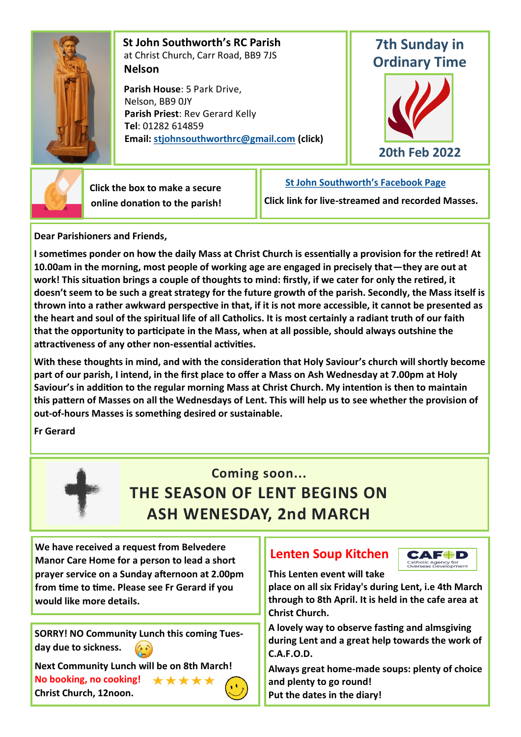

 **St John Southworth's RC Parish** at Christ Church, Carr Road, BB9 7JS **Nelson**

 **Parish House**: 5 Park Drive, Nelson, BB9 0JY **Parish Priest**: Rev Gerard Kelly **Tel**: 01282 614859 **Email: [stjohnsouthworthrc@gmail.com](mailto:stjohnsouthworth@gmail.com) (click)**

# **7th Sunday in Ordinary Time**





 **Click the box to make a secure online donation to the parish!** **[St John Southworth's Facebook Page](https://www.facebook.com/Parish-of-St-John-Southworth-in-Nelson-105718084323986)**

**Click link for live-streamed and recorded Masses.**

**Dear Parishioners and Friends,**

**I sometimes ponder on how the daily Mass at Christ Church is essentially a provision for the retired! At 10.00am in the morning, most people of working age are engaged in precisely that—they are out at work! This situation brings a couple of thoughts to mind: firstly, if we cater for only the retired, it doesn't seem to be such a great strategy for the future growth of the parish. Secondly, the Mass itself is thrown into a rather awkward perspective in that, if it is not more accessible, it cannot be presented as the heart and soul of the spiritual life of all Catholics. It is most certainly a radiant truth of our faith that the opportunity to participate in the Mass, when at all possible, should always outshine the attractiveness of any other non-essential activities.** 

**With these thoughts in mind, and with the consideration that Holy Saviour's church will shortly become part of our parish, I intend, in the first place to offer a Mass on Ash Wednesday at 7.00pm at Holy Saviour's in addition to the regular morning Mass at Christ Church. My intention is then to maintain this pattern of Masses on all the Wednesdays of Lent. This will help us to see whether the provision of out-of-hours Masses is something desired or sustainable.** 

#### **Fr Gerard**



# **Coming soon... THE SEASON OF LENT BEGINS ON ASH WENESDAY, 2nd MARCH**

**We have received a request from Belvedere Manor Care Home for a person to lead a short prayer service on a Sunday afternoon at 2.00pm from time to time. Please see Fr Gerard if you would like more details.** 

**SORRY! NO Community Lunch this coming Tuesday due to sickness.** 

**Next Community Lunch will be on 8th March! No booking, no cooking!** \*\*\*\*\* **Christ Church, 12noon.**

## **Lenten Soup Kitchen**



**This Lenten event will take place on all six Friday's during Lent, i.e 4th March through to 8th April. It is held in the cafe area at Christ Church.**

**A lovely way to observe fasting and almsgiving during Lent and a great help towards the work of C.A.F.O.D.**

**Always great home-made soups: plenty of choice and plenty to go round! Put the dates in the diary!**